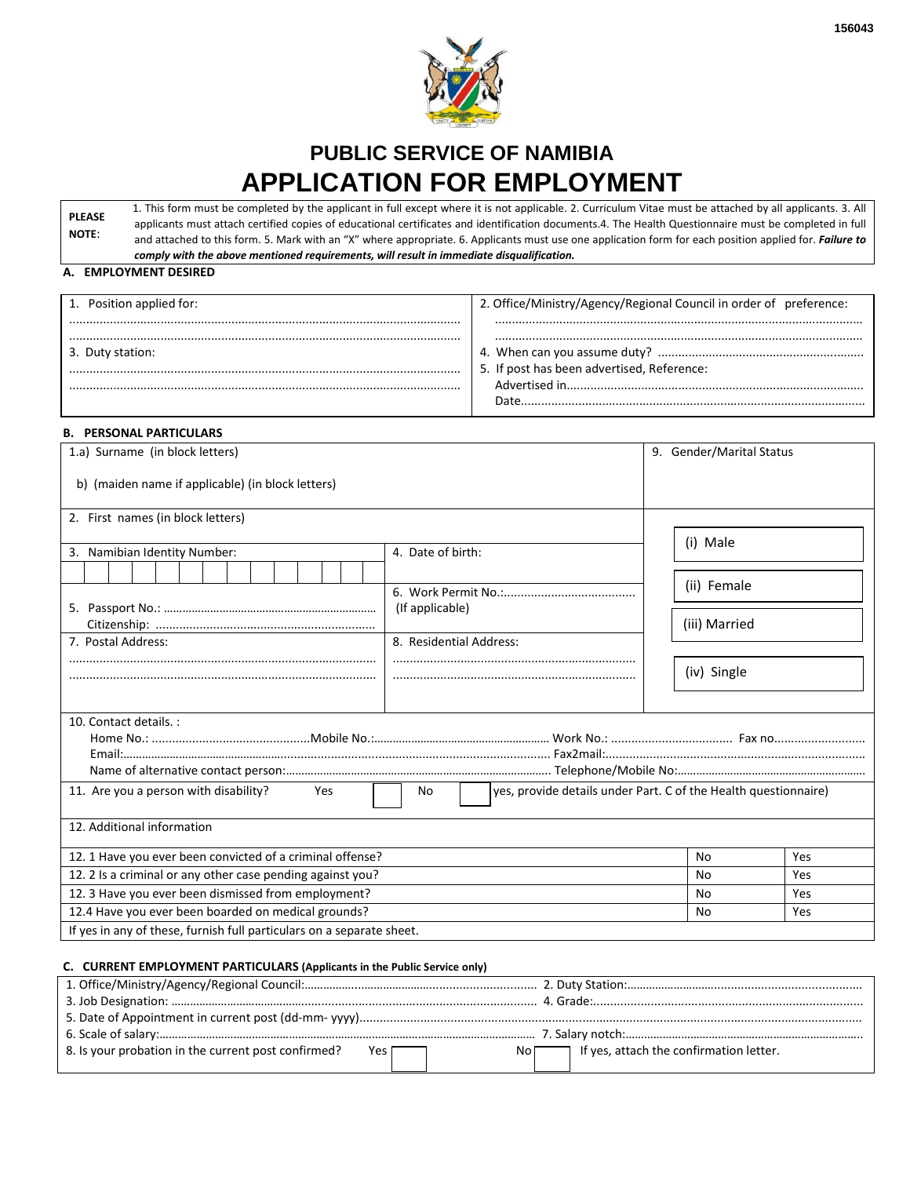

# **PUBLIC SERVICE OF NAMIBIA APPLICATION FOR EMPLOYMENT**

**PLEASE NOTE**: 1. This form must be completed by the applicant in full except where it is not applicable. 2. Curriculum Vitae must be attached by all applicants. 3. All applicants must attach certified copies of educational certificates and identification documents.4. The Health Questionnaire must be completed in full and attached to this form. 5. Mark with an "X" where appropriate. 6. Applicants must use one application form for each position applied for. *Failure to comply with the above mentioned requirements, will result in immediate disqualification.*

#### **A. EMPLOYMENT DESIRED**

| 1. Position applied for: | 2. Office/Ministry/Agency/Regional Council in order of preference: |
|--------------------------|--------------------------------------------------------------------|
|                          |                                                                    |
| 3. Duty station:         |                                                                    |
|                          | 5. If post has been advertised, Reference:                         |
|                          | Advertised in                                                      |
|                          |                                                                    |

# **B. PERSONAL PARTICULARS**

| 1.a) Surname (in block letters)                                                                                       |                         |  | 9. Gender/Marital Status |     |  |  |
|-----------------------------------------------------------------------------------------------------------------------|-------------------------|--|--------------------------|-----|--|--|
| b) (maiden name if applicable) (in block letters)                                                                     |                         |  |                          |     |  |  |
| 2. First names (in block letters)                                                                                     |                         |  |                          |     |  |  |
| 3. Namibian Identity Number:                                                                                          | 4. Date of birth:       |  | (i) Male                 |     |  |  |
|                                                                                                                       |                         |  |                          |     |  |  |
|                                                                                                                       |                         |  | (ii) Female              |     |  |  |
|                                                                                                                       | (If applicable)         |  |                          |     |  |  |
|                                                                                                                       |                         |  | (iii) Married            |     |  |  |
| 7. Postal Address:                                                                                                    | 8. Residential Address: |  |                          |     |  |  |
|                                                                                                                       |                         |  | (iv) Single              |     |  |  |
|                                                                                                                       |                         |  |                          |     |  |  |
|                                                                                                                       |                         |  |                          |     |  |  |
| 10. Contact details. :                                                                                                |                         |  |                          |     |  |  |
|                                                                                                                       |                         |  |                          |     |  |  |
|                                                                                                                       |                         |  |                          |     |  |  |
| yes, provide details under Part. C of the Health questionnaire)<br>11. Are you a person with disability?<br>No<br>Yes |                         |  |                          |     |  |  |
| 12. Additional information                                                                                            |                         |  |                          |     |  |  |
| 12. 1 Have you ever been convicted of a criminal offense?                                                             |                         |  | N <sub>0</sub>           | Yes |  |  |
| 12. 2 Is a criminal or any other case pending against you?                                                            |                         |  | N <sub>0</sub>           | Yes |  |  |
| 12. 3 Have you ever been dismissed from employment?                                                                   |                         |  | <b>No</b>                | Yes |  |  |
| 12.4 Have you ever been boarded on medical grounds?                                                                   |                         |  | N <sub>0</sub>           | Yes |  |  |
| If yes in any of these, furnish full particulars on a separate sheet.                                                 |                         |  |                          |     |  |  |

# **C. CURRENT EMPLOYMENT PARTICULARS (Applicants in the Public Service only)**

| 8. Is your probation in the current post confirmed? | Yes | If yes, attach the confirmation letter.<br>Νo |
|-----------------------------------------------------|-----|-----------------------------------------------|